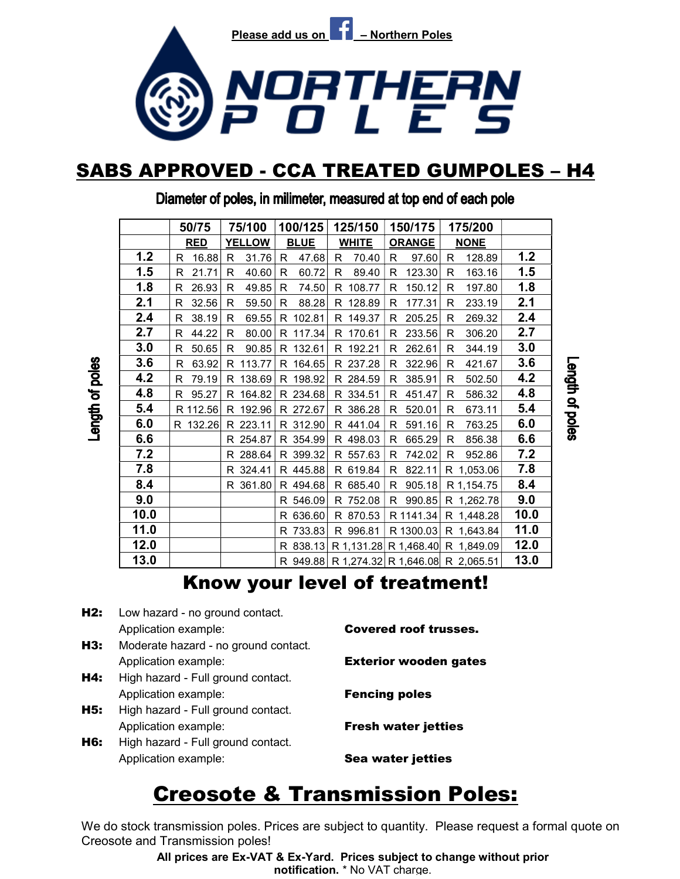

### SABS APPROVED - CCA TREATED GUMPOLES – H4

|      | 50/75        | 75/100        | 100/125               | 125/150      | 150/175       | 175/200                                   |      |
|------|--------------|---------------|-----------------------|--------------|---------------|-------------------------------------------|------|
|      | <b>RED</b>   | <b>YELLOW</b> | <b>BLUE</b>           | <b>WHITE</b> | <b>ORANGE</b> | <b>NONE</b>                               |      |
| 1.2  | 16.88<br>R.  | R<br>31.76    | 47.68<br>R.           | 70.40<br>R   | 97.60<br>R    | 128.89<br>R                               | 1.2  |
| 1.5  | 21.71<br>R   | 40.60<br>R    | 60.72<br>R            | 89.40<br>R   | 123.30<br>R   | 163.16<br>R                               | 1.5  |
| 1.8  | 26.93<br>R   | 49.85<br>R    | $\mathsf{R}$<br>74.50 | 108.77<br>R  | 150.12<br>R   | 197.80<br>R                               | 1.8  |
| 2.1  | 32.56<br>R   | 59.50<br>R    | 88.28<br>R            | R 128.89     | 177.31<br>R   | 233.19<br>R                               | 2.1  |
| 2.4  | 38.19<br>R   | 69.55<br>R    | 102.81<br>R           | R 149.37     | 205.25<br>R   | 269.32<br>R                               | 2.4  |
| 2.7  | 44.22<br>R   | 80.00<br>R    | R 117.34              | R 170.61     | 233.56<br>R   | 306.20<br>R                               | 2.7  |
| 3.0  | 50.65<br>R   | 90.85<br>R.   | R 132.61              | R 192.21     | 262.61<br>R   | 344.19<br>R                               | 3.0  |
| 3.6  | 63.92<br>R   | 113.77<br>R.  | R 164.65              | R 237.28     | 322.96<br>R   | 421.67<br>R                               | 3.6  |
| 4.2  | 79.19<br>R   | 138.69<br>R.  | R 198.92              | R 284.59     | 385.91<br>R.  | 502.50<br>R                               | 4.2  |
| 4.8  | 95.27<br>R   | 164.82<br>R.  | R 234.68              | R 334.51     | 451.47<br>R   | 586.32<br>R                               | 4.8  |
| 5.4  | R 112.56     | 192.96<br>R.  | R 272.67              | R 386.28     | 520.01<br>R   | 673.11<br>R                               | 5.4  |
| 6.0  | 132.26<br>R. | R 223.11      | R 312.90              | R 441.04     | 591.16<br>R   | 763.25<br>R                               | 6.0  |
| 6.6  |              | R 254.87      | R 354.99              | R 498.03     | 665.29<br>R   | 856.38<br>R                               | 6.6  |
| 7.2  |              | 288.64<br>R.  | R 399.32              | R 557.63     | 742.02<br>R   | 952.86<br>R                               | 7.2  |
| 7.8  |              | R 324.41      | R 445.88              | R 619.84     | 822.11<br>R   | R 1,053.06                                | 7.8  |
| 8.4  |              | R 361.80      | R 494.68              | R 685.40     | 905.18<br>R.  | R 1,154.75                                | 8.4  |
| 9.0  |              |               | R 546.09              | R 752.08     | 990.85<br>R.  | R 1,262.78                                | 9.0  |
| 10.0 |              |               | R 636.60              | R 870.53     | R 1141.34     | R 1,448.28                                | 10.0 |
| 11.0 |              |               | R 733.83              | R 996.81     | R 1300.03     | R 1,643.84                                | 11.0 |
| 12.0 |              |               |                       |              |               | R 838.13 R 1,131.28 R 1,468.40 R 1,849.09 | 12.0 |
| 13.0 |              |               |                       |              |               | R 949.88 R 1,274.32 R 1,646.08 R 2,065.51 | 13.0 |
|      |              |               |                       |              |               |                                           |      |

Length of poles

Diameter of poles, in milimeter, measured at top end of each pole

Length of poles

### Know your level of treatment!

H2: Low hazard - no ground contact. Application example: **Covered roof trusses.** H3: Moderate hazard - no ground contact. Application example: **Exterior wooden gates** H4: High hazard - Full ground contact. Application example: **Fencing poles H5:** High hazard - Full ground contact. Application example: Fresh water jetties **H6:** High hazard - Full ground contact. Application example: Sea water jetties

# Creosote & Transmission Poles:

We do stock transmission poles. Prices are subject to quantity. Please request a formal quote on Creosote and Transmission poles!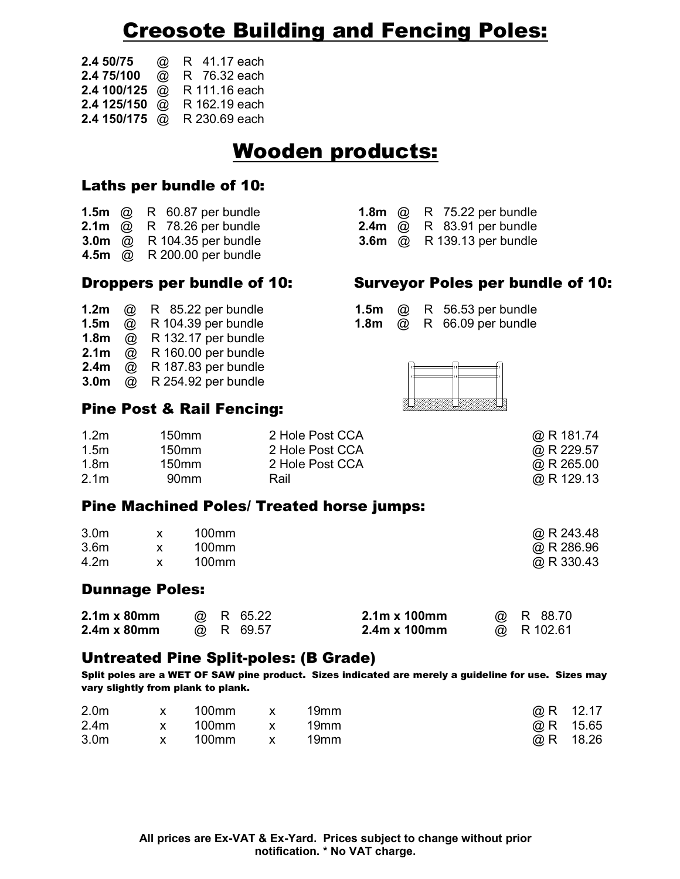# Creosote Building and Fencing Poles:

| 2.4 50/75 | @ R 41.17 each              |
|-----------|-----------------------------|
|           | 2.4 75/100 @ R 76.32 each   |
|           | 2.4 100/125 @ R 111.16 each |
|           | 2.4 125/150 @ R 162.19 each |
|           | 2.4 150/175 @ R 230.69 each |

### Wooden products:

#### Laths per bundle of 10:

|  | 1.5 $m$ @ R 60.87 per bundle                         |  |
|--|------------------------------------------------------|--|
|  | <b>2.1m</b> @ R 78.26 per bundle                     |  |
|  | $2.0$ $\infty$ $2.040425$ $\infty$ $\infty$ $\infty$ |  |

- **3.0m** @ R 104.35 per bundle
- 4.5m @ R 200.00 per bundle

| 1.2 <sub>m</sub> | @                    | R 85.22 per bundle  |
|------------------|----------------------|---------------------|
| 1.5 <sub>m</sub> | @                    | R 104.39 per bundle |
| 1.8 <sub>m</sub> | $^{\textcircled{a}}$ | R 132.17 per bundle |
| 2.1 <sub>m</sub> | $^{\textcircled{a}}$ | R 160.00 per bundle |
| 2.4 <sub>m</sub> | $^{\textcircled{a}}$ | R 187.83 per bundle |
| 3.0 <sub>m</sub> | ω                    | R 254.92 per bundle |

#### Pine Post & Rail Fencing:

| 1.2m | 150 <sub>mm</sub> | 2 Hole Post CCA |
|------|-------------------|-----------------|
| 1.5m | 150 <sub>mm</sub> | 2 Hole Post CCA |
| 1.8m | 150 <sub>mm</sub> | 2 Hole Post CCA |
| 2.1m | 90 <sub>mm</sub>  | Rail            |

#### Pine Machined Poles/ Treated horse jumps:

| 3.0 <sub>m</sub> | 100mm | @ R 243.48   |
|------------------|-------|--------------|
| 3.6 <sub>m</sub> | 100mm | $@$ R 286.96 |
| 4.2m             | 100mm | @ R 330.43   |

#### Dunnage Poles:

| $2.1m \times 80mm$ |  | @ R 65.22 | $2.1m \times 100mm$ | @ R 88.70  |
|--------------------|--|-----------|---------------------|------------|
| $2.4m \times 80mm$ |  | @ R 69.57 | 2.4m x 100mm        | @ R 102.61 |

#### Untreated Pine Split-poles: (B Grade)

Split poles are a WET OF SAW pine product. Sizes indicated are merely a guideline for use. Sizes may vary slightly from plank to plank.

| 2.0 <sub>m</sub> | $\mathsf{X}$ | 100mm   | $\mathsf{X}$                       | 19mm | $@R$ 12.17  |
|------------------|--------------|---------|------------------------------------|------|-------------|
| 2.4 <sub>m</sub> | $\mathsf{X}$ | 100mm x |                                    | 19mm | @ R $15.65$ |
| 3.0 <sub>m</sub> | $\mathsf{X}$ | 100mm   | $\sim$ $\sim$ $\sim$ $\sim$ $\sim$ | 19mm | @ R $18.26$ |

| 1.5 $m$ @ R 60.87 per bundle      |  | <b>1.8m</b> @ R 75.22 per bundle         |
|-----------------------------------|--|------------------------------------------|
| <b>2.1m</b> @ R 78.26 per bundle  |  | <b>2.4m</b> @ R $83.91$ per bundle       |
| <b>3.0m</b> @ R 104.35 per bundle |  | <b>3.6m</b> $\omega$ R 139.13 per bundle |

#### Droppers per bundle of 10: Surveyor Poles per bundle of 10:

|  | <b>1.2m</b> @ R $85.22$ per bundle |  | 1.5 $m$ @ R 56.53 per bundle            |
|--|------------------------------------|--|-----------------------------------------|
|  | <b>1.5m</b> @ R 104.39 per bundle  |  | 1.8 $m \quad \omega$ R 66.09 per bundle |



 $@R$  181.74  $@R 229.57$ 

 $@$  R 265.00  $@$  R 129.13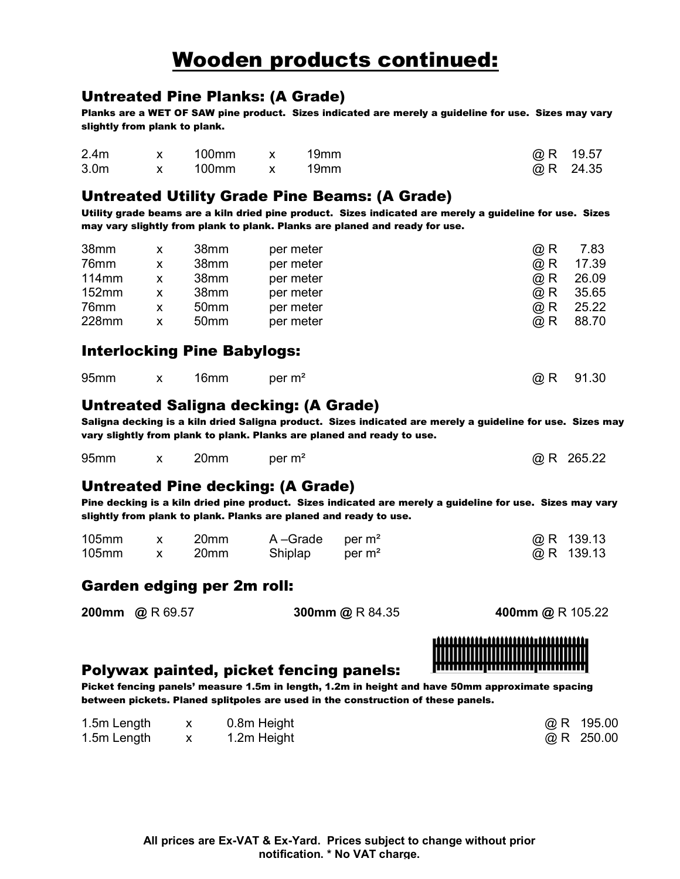# Wooden products continued:

#### Untreated Pine Planks: (A Grade)

Planks are a WET OF SAW pine product. Sizes indicated are merely a guideline for use. Sizes may vary slightly from plank to plank.

| 2.4 <sub>m</sub> | x 100mm x 19mm |  | $@R$ 19.57 |
|------------------|----------------|--|------------|
| 3.0 <sub>m</sub> | x 100mm x 19mm |  | $@R$ 24.35 |

#### Untreated Utility Grade Pine Beams: (A Grade)

Utility grade beams are a kiln dried pine product. Sizes indicated are merely a guideline for use. Sizes may vary slightly from plank to plank. Planks are planed and ready for use.

| 38mm     |   | 38mm             | per meter | $@$ R | 7.83  |
|----------|---|------------------|-----------|-------|-------|
| 76mm     | x | 38mm             | per meter | $@$ R | 17.39 |
| $114$ mm | x | 38mm             | per meter | $@$ R | 26.09 |
| 152mm    | x | 38mm             | per meter | @ R   | 35.65 |
| 76mm     |   | 50 <sub>mm</sub> | per meter | $@$ R | 25.22 |
| 228mm    |   | 50 <sub>mm</sub> | per meter | @ R   | 88.70 |

#### Interlocking Pine Babylogs:

| 95 <sub>mm</sub> |  | x 16mm | per m <sup>2</sup> |  | @ R 91.30 |
|------------------|--|--------|--------------------|--|-----------|
|------------------|--|--------|--------------------|--|-----------|

#### Untreated Saligna decking: (A Grade)

Saligna decking is a kiln dried Saligna product. Sizes indicated are merely a guideline for use. Sizes may vary slightly from plank to plank. Planks are planed and ready to use.

| 95mm | $X \sim$ | 20mm | per $m2$ | $@R$ 265.22 |
|------|----------|------|----------|-------------|
|------|----------|------|----------|-------------|

#### Untreated Pine decking: (A Grade)

Pine decking is a kiln dried pine product. Sizes indicated are merely a guideline for use. Sizes may vary slightly from plank to plank. Planks are planed and ready to use.

| 105mm | 20mm | A-Grade per $m2$ |  | $@R$ 139.13 |
|-------|------|------------------|--|-------------|
| 105mm | 20mm | Shiplap per $m2$ |  | $@R$ 139.13 |

#### Garden edging per 2m roll:

200mm @ R 69.57 300mm @ R 84.35 400mm @ R 105.22



#### Polywax painted, picket fencing panels:

Picket fencing panels' measure 1.5m in length, 1.2m in height and have 50mm approximate spacing between pickets. Planed splitpoles are used in the construction of these panels.

| 1.5m Length | 0.8m Height | $@$ R 195.00 |
|-------------|-------------|--------------|
| 1.5m Length | 1.2m Height | $@$ R 250.00 |

| @ R | 195.00 |
|-----|--------|
| @ R | 250.00 |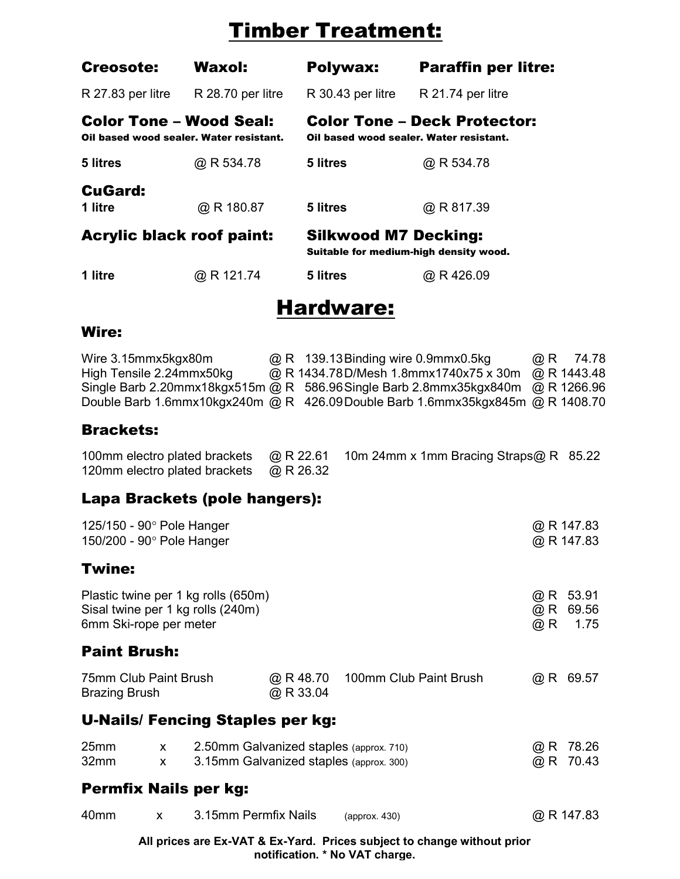# Timber Treatment:

| <b>Creosote:</b>                                                   | <b>Waxol:</b>     | Polywax:                    | <b>Paraffin per litre:</b>                                                     |
|--------------------------------------------------------------------|-------------------|-----------------------------|--------------------------------------------------------------------------------|
| R 27.83 per litre                                                  | R 28.70 per litre | R 30.43 per litre           | R 21.74 per litre                                                              |
| Color Tone – Wood Seal:<br>Oil based wood sealer. Water resistant. |                   |                             | <b>Color Tone - Deck Protector:</b><br>Oil based wood sealer. Water resistant. |
| 5 litres                                                           | @ R 534.78        | 5 litres                    | @ R 534.78                                                                     |
| CuGard:<br>1 litre                                                 | @ R 180.87        | 5 litres                    | @ R 817.39                                                                     |
| Acrylic black roof paint:                                          |                   | <b>Silkwood M7 Decking:</b> | Suitable for medium-high density wood.                                         |
| 1 litre                                                            | @ R 121.74        | 5 litres                    | @ R 426.09                                                                     |
|                                                                    |                   |                             |                                                                                |

### Hardware:

### Wire:

| Wire 3.15mmx5kgx80m      | @ R 139.13 Binding wire 0.9mmx0.5kg                                           | $\omega$ R | 74.78       |
|--------------------------|-------------------------------------------------------------------------------|------------|-------------|
| High Tensile 2.24mmx50kg | @ R 1434.78D/Mesh 1.8mmx1740x75 x 30m                                         |            | @ R 1443.48 |
|                          | Single Barb 2.20mmx18kgx515m @ R 586.96 Single Barb 2.8mmx35kgx840m           |            | @R1266.96   |
|                          | Double Barb 1.6mmx10kgx240m @ R 426.09Double Barb 1.6mmx35kgx845m @ R 1408.70 |            |             |
|                          |                                                                               |            |             |
| <b>Brackets:</b>         |                                                                               |            |             |

### Lapa Brackets (pole hangers):

| 125/150 - 90° Pole Hanger<br>150/200 - 90° Pole Hanger |                   |                                                                                    |                        |                        |                  | @ R 147.83<br>$@$ R 147.83 |
|--------------------------------------------------------|-------------------|------------------------------------------------------------------------------------|------------------------|------------------------|------------------|----------------------------|
| <b>Twine:</b>                                          |                   |                                                                                    |                        |                        |                  |                            |
| 6mm Ski-rope per meter                                 |                   | Plastic twine per 1 kg rolls (650m)<br>Sisal twine per 1 kg rolls (240m)           |                        |                        | @ R<br>@ R<br>@R | 53.91<br>69.56<br>1.75     |
| <b>Paint Brush:</b>                                    |                   |                                                                                    |                        |                        |                  |                            |
| 75mm Club Paint Brush<br><b>Brazing Brush</b>          |                   |                                                                                    | @ R 48.70<br>@ R 33.04 | 100mm Club Paint Brush |                  | $@R$ 69.57                 |
|                                                        |                   | <b>U-Nails/ Fencing Staples per kg:</b>                                            |                        |                        |                  |                            |
| 25 <sub>mm</sub><br>32mm                               | $\mathsf{X}$<br>X | 2.50mm Galvanized staples (approx. 710)<br>3.15mm Galvanized staples (approx. 300) |                        |                        | @R<br>$@$ R      | 78.26<br>70.43             |
| <b>Permfix Nails per kg:</b>                           |                   |                                                                                    |                        |                        |                  |                            |
| 40 <sub>mm</sub>                                       | X                 | 3.15mm Permfix Nails                                                               |                        | (approx. 430)          |                  | @ R 147.83                 |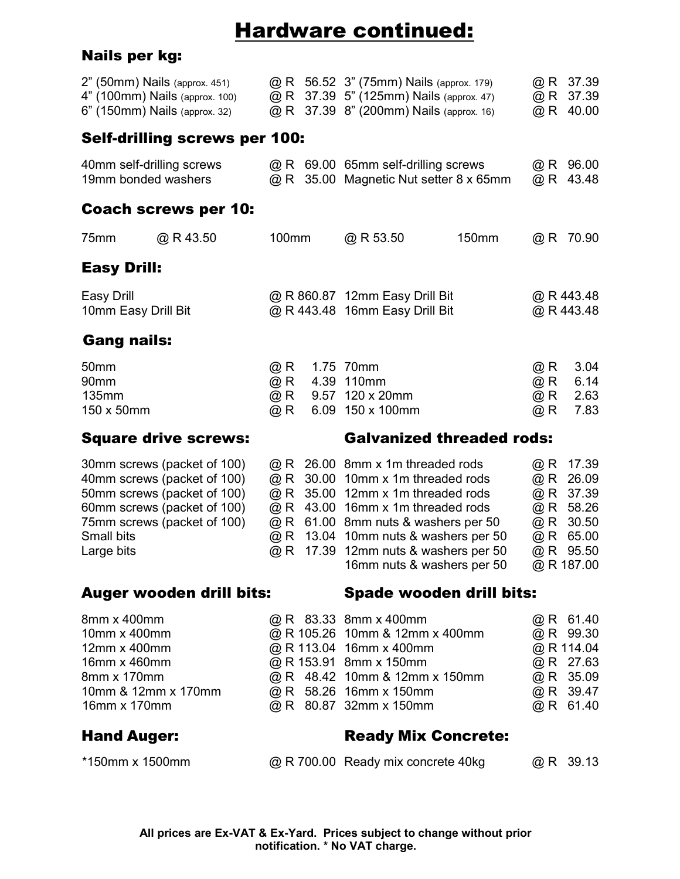# Hardware continued:

### Nails per kg:

| @ R 37.39<br>@ R 37.39<br>@R 40.00                                                           |
|----------------------------------------------------------------------------------------------|
|                                                                                              |
| $@R$ 96.00<br>43.48                                                                          |
|                                                                                              |
| $@R$ 70.90                                                                                   |
|                                                                                              |
| @ R 443.48<br>@ R 443.48                                                                     |
|                                                                                              |
| 3.04<br>6.14                                                                                 |
| 2.63<br>7.83                                                                                 |
|                                                                                              |
| 17.39<br>26.09<br>@ R 37.39<br>@R 58.26<br>@ R 30.50<br>@ R 65.00<br>@ R 95.50<br>@ R 187.00 |
|                                                                                              |
| @ R 61.40<br>@ R 99.30<br>@ R 114.04<br>@ R 27.63<br>@ R 35.09<br>@ R 39.47<br>@ R 61.40     |
|                                                                                              |
|                                                                                              |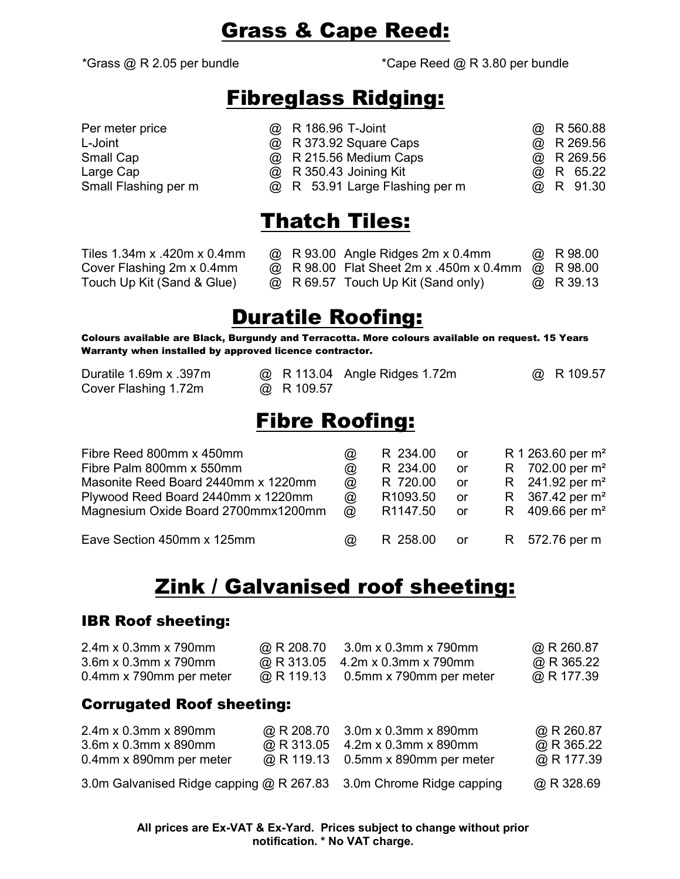### Grass & Cape Reed:

\*Grass  $@$  R 2.05 per bundle  $@$   $@$  R 3.80 per bundle

### Fibreglass Ridging:

| Per meter price      | @ R 186.96 T-Joint             |  | $@$ R 560.88 |
|----------------------|--------------------------------|--|--------------|
| L-Joint              | @ R 373.92 Square Caps         |  | $@$ R 269.56 |
| Small Cap            | @ R 215.56 Medium Caps         |  | $@$ R 269.56 |
| Large Cap            | @ R 350.43 Joining Kit         |  | @ R 65.22    |
| Small Flashing per m | @ R 53.91 Large Flashing per m |  | @ R 91.30    |

# Thatch Tiles:

| Tiles 1.34m x .420m x 0.4mm |  | $\omega$ R 93.00 Angle Ridges 2m x 0.4mm          | @ R 98.00 |
|-----------------------------|--|---------------------------------------------------|-----------|
| Cover Flashing 2m x 0.4mm   |  | @ R 98.00 Flat Sheet 2m x .450m x 0.4mm @ R 98.00 |           |
| Touch Up Kit (Sand & Glue)  |  | @ R 69.57 Touch Up Kit (Sand only)                | @ R 39.13 |

# Duratile Roofing:

Colours available are Black, Burgundy and Terracotta. More colours available on request. 15 Years Warranty when installed by approved licence contractor.

| Duratile 1.69m x .397m | @ R 113.04 Angle Ridges 1.72m | @ R 109.57 |
|------------------------|-------------------------------|------------|
| Cover Flashing 1.72m   | $\omega$ R 109.57             |            |

### Fibre Roofing:

| Fibre Reed 800mm x 450mm            | ω              | R 234.00             | or                             | R 1 263.60 per m <sup>2</sup> |
|-------------------------------------|----------------|----------------------|--------------------------------|-------------------------------|
| Fibre Palm 800mm x 550mm            | $^{\circledR}$ | R 234.00             | or                             | R 702.00 per $m^2$            |
| Masonite Reed Board 2440mm x 1220mm | $\circleda$    | R 720.00             | or                             | R $241.92$ per m <sup>2</sup> |
| Plywood Reed Board 2440mm x 1220mm  | $^{\circledR}$ | R <sub>1093.50</sub> | or.                            | R 367.42 per $m^2$            |
| Magnesium Oxide Board 2700mmx1200mm | $\omega$       | R <sub>1147.50</sub> | <b>or</b>                      | R $409.66$ per m <sup>2</sup> |
| Eave Section 450mm x 125mm          | $\omega$       | R 258.00             | or the control of the control. | R 572.76 per m                |

# Zink / Galvanised roof sheeting:

#### IBR Roof sheeting:

| $2.4m \times 0.3m m \times 790m m$ | @ R 208.70 | 3.0m x 0.3mm x 790mm                   | @ R 260.87 |
|------------------------------------|------------|----------------------------------------|------------|
| $3.6m \times 0.3m m \times 790m m$ |            | $\omega$ R 313.05 4.2m x 0.3mm x 790mm | @ R 365.22 |
| 0.4mm x 790mm per meter            |            | @ R 119.13 0.5mm x 790mm per meter     | @ R 177.39 |

#### Corrugated Roof sheeting:

| 2.4m x 0.3mm x 890mm                                               | @ R 208.70 3.0m x 0.3mm x 890mm    | @ R 260.87 |
|--------------------------------------------------------------------|------------------------------------|------------|
| 3.6m x 0.3mm x 890mm                                               | @ R 313.05 4.2m x 0.3mm x 890mm    | @ R 365.22 |
| 0.4mm x 890mm per meter                                            | @ R 119.13 0.5mm x 890mm per meter | @ R 177.39 |
| 3.0m Galvanised Ridge capping @ R 267.83 3.0m Chrome Ridge capping |                                    | @ R 328.69 |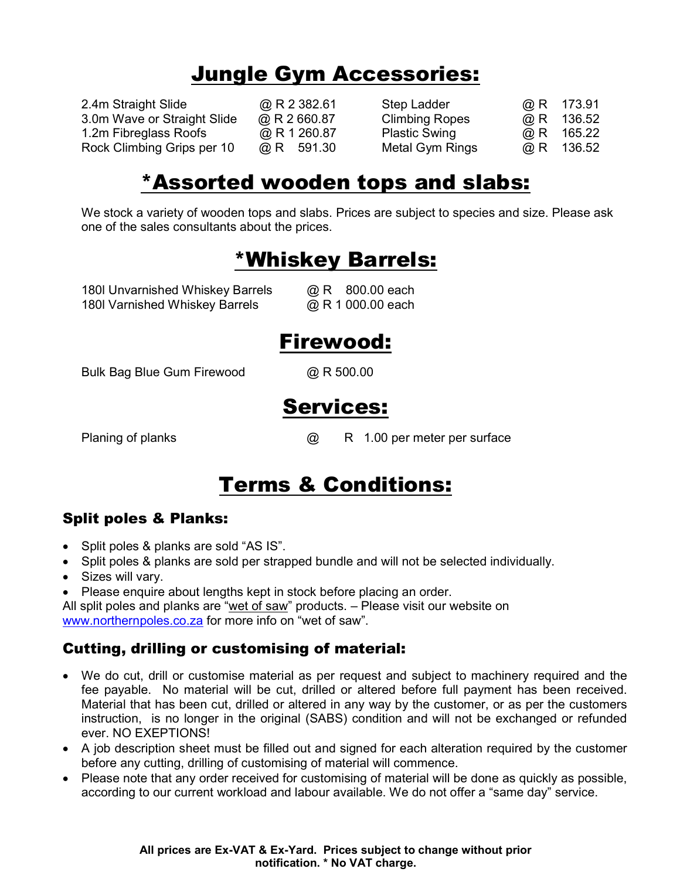# Jungle Gym Accessories:

2.4m Straight Slide  $Q \, R$  2 382.61 Step Ladder 3.0m Wave or Straight Slide  $\qquad \textcircled{R}$  R 2 660.87 Climbing Ro 1.2m Fibreglass Roofs @ R 1 260.87 Plastic Swing Rock Climbing Grips per 10  $\qquad \qquad \textcircled{R}$  591.30 Metal Gym F

|       | $\omega$ R | 173.91 |
|-------|------------|--------|
| pes   | $@$ R      | 136.52 |
| g     | $\omega$ R | 165.22 |
| Rings | @ R        | 136.52 |

### \*Assorted wooden tops and slabs:

We stock a variety of wooden tops and slabs. Prices are subject to species and size. Please ask one of the sales consultants about the prices.

# \*Whiskey Barrels:

180l Unvarnished Whiskey Barrels @ R 800.00 each 180l Varnished Whiskey Barrels @ R 1 000.00 each

# Firewood:

Bulk Bag Blue Gum Firewood @ R 500.00

### Services:

Planing of planks @ R 1.00 per meter per surface

# Terms & Conditions:

### Split poles & Planks:

- Split poles & planks are sold "AS IS".
- Split poles & planks are sold per strapped bundle and will not be selected individually.
- Sizes will vary.
- Please enquire about lengths kept in stock before placing an order.

All split poles and planks are "wet of saw" products. – Please visit our website on www.northernpoles.co.za for more info on "wet of saw".

### Cutting, drilling or customising of material:

- We do cut, drill or customise material as per request and subject to machinery required and the fee payable. No material will be cut, drilled or altered before full payment has been received. Material that has been cut, drilled or altered in any way by the customer, or as per the customers instruction, is no longer in the original (SABS) condition and will not be exchanged or refunded ever. NO EXEPTIONS!
- A job description sheet must be filled out and signed for each alteration required by the customer before any cutting, drilling of customising of material will commence.
- Please note that any order received for customising of material will be done as quickly as possible, according to our current workload and labour available. We do not offer a "same day" service.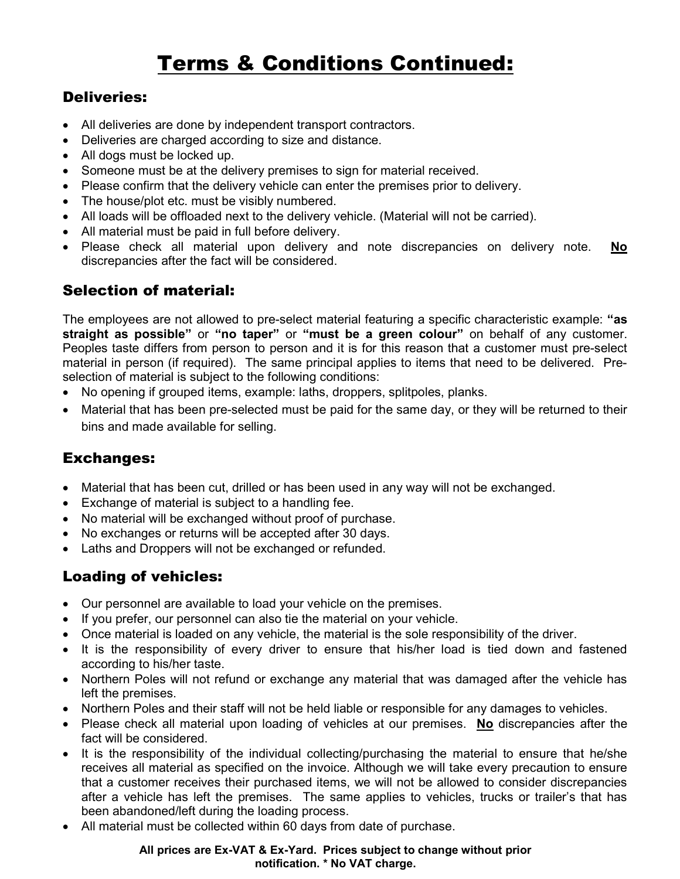# Terms & Conditions Continued:

### Deliveries:

- All deliveries are done by independent transport contractors.
- Deliveries are charged according to size and distance.
- All dogs must be locked up.
- Someone must be at the delivery premises to sign for material received.
- Please confirm that the delivery vehicle can enter the premises prior to delivery.
- The house/plot etc. must be visibly numbered.
- All loads will be offloaded next to the delivery vehicle. (Material will not be carried).
- All material must be paid in full before delivery.
- Please check all material upon delivery and note discrepancies on delivery note. No discrepancies after the fact will be considered.

### Selection of material:

The employees are not allowed to pre-select material featuring a specific characteristic example: "as straight as possible" or "no taper" or "must be a green colour" on behalf of any customer. Peoples taste differs from person to person and it is for this reason that a customer must pre-select material in person (if required). The same principal applies to items that need to be delivered. Preselection of material is subject to the following conditions:

- No opening if grouped items, example: laths, droppers, splitpoles, planks.
- Material that has been pre-selected must be paid for the same day, or they will be returned to their bins and made available for selling.

#### Exchanges:

- Material that has been cut, drilled or has been used in any way will not be exchanged.
- Exchange of material is subject to a handling fee.
- No material will be exchanged without proof of purchase.
- No exchanges or returns will be accepted after 30 days.
- Laths and Droppers will not be exchanged or refunded.

### Loading of vehicles:

- Our personnel are available to load your vehicle on the premises.
- If you prefer, our personnel can also tie the material on your vehicle.
- Once material is loaded on any vehicle, the material is the sole responsibility of the driver.
- It is the responsibility of every driver to ensure that his/her load is tied down and fastened according to his/her taste.
- Northern Poles will not refund or exchange any material that was damaged after the vehicle has left the premises.
- Northern Poles and their staff will not be held liable or responsible for any damages to vehicles.
- Please check all material upon loading of vehicles at our premises. No discrepancies after the fact will be considered.
- It is the responsibility of the individual collecting/purchasing the material to ensure that he/she receives all material as specified on the invoice. Although we will take every precaution to ensure that a customer receives their purchased items, we will not be allowed to consider discrepancies after a vehicle has left the premises. The same applies to vehicles, trucks or trailer's that has been abandoned/left during the loading process.
- All material must be collected within 60 days from date of purchase.